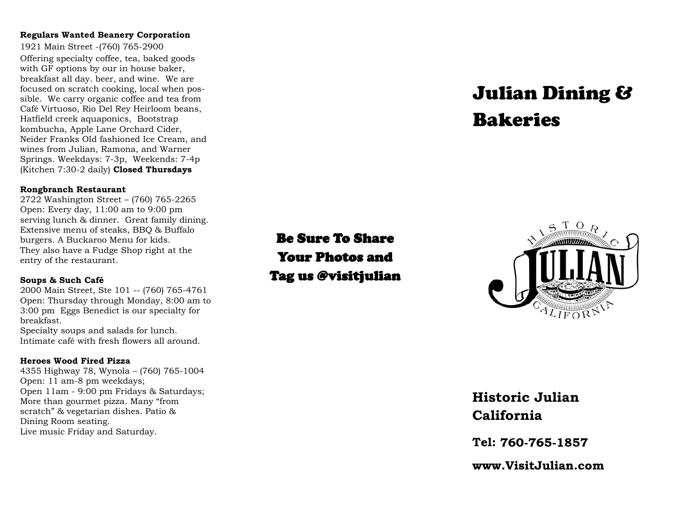#### **Regulars Wanted Beanery Corporation**

1921 Main Street -(760) 765-2900 Offering specialty coffee, tea, baked goods with GF options by our in house baker, breakfast all day. beer, and wine. We are focused on scratch cooking, local when possible. We carry organic coffee and tea from Café Virtuoso, Rio Del Rey Heirloom beans, Hatfield creek aquaponics, Bootstrap kombucha, Apple Lane Orchard Cider, Neider Franks Old fashioned Ice Cream, and wines from Julian, Ramona, and Warner Springs. Weekdays: 7-3p, Weekends: 7-4p (Kitchen 7:30-2 daily) **Closed Thursdays**

#### **Rongbranch Restaurant**

2722 Washington Street – (760) 765-2265 Open: Every day, 11:00 am to 9:00 pm serving lunch & dinner. Great family dining. Extensive menu of steaks, BBQ & Buffalo burgers. A Buckaroo Menu for kids. They also have a Fudge Shop right at the entry of the restaurant.

#### **Soups & Such Café**

2000 Main Street, Ste 101 -- (760) 765-4761 Open: Thursday through Monday, 8:00 am to 3:00 pm Eggs Benedict is our specialty for breakfast. Specialty soups and salads for lunch. Intimate café with fresh flowers all around.

#### **Heroes Wood Fired Pizza**

4355 Highway 78, Wynola – (760) 765-1004 Open: 11 am-8 pm weekdays; Open 11am - 9:00 pm Fridays & Saturdays; More than gourmet pizza. Many "from scratch" & vegetarian dishes. Patio & Dining Room seating. Live music Friday and Saturday.

# Julian Dining & Bakeries

## Be Sure To Share Your Photos and Tag us @visitjulian



### **Historic Julian California**

**Tel:** 

www.Visit.Julian.com